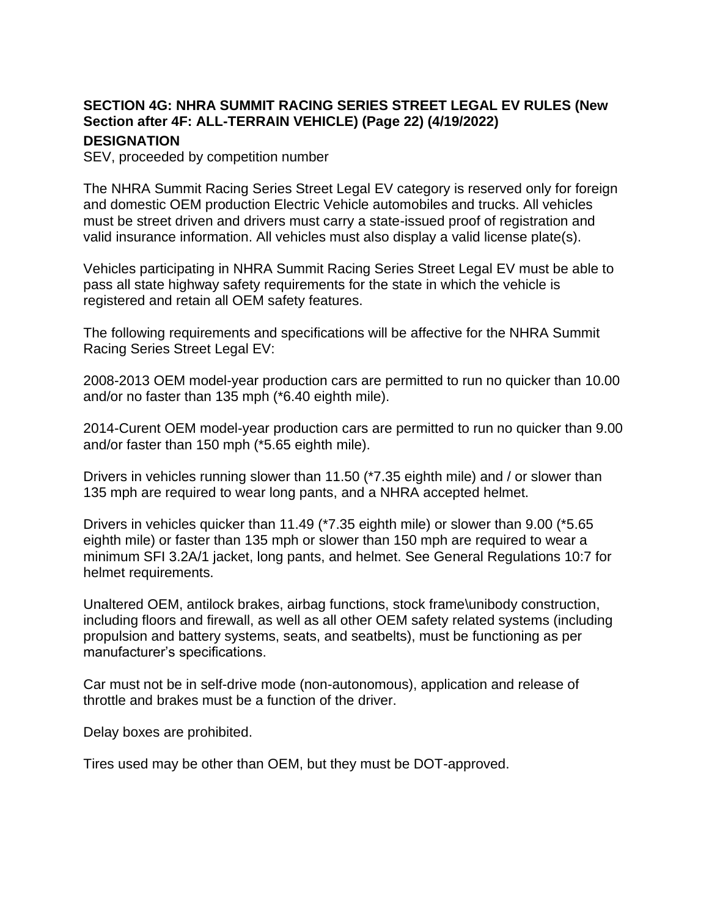## **SECTION 4G: NHRA SUMMIT RACING SERIES STREET LEGAL EV RULES (New Section after 4F: ALL-TERRAIN VEHICLE) (Page 22) (4/19/2022)**

## **DESIGNATION**

SEV, proceeded by competition number

The NHRA Summit Racing Series Street Legal EV category is reserved only for foreign and domestic OEM production Electric Vehicle automobiles and trucks. All vehicles must be street driven and drivers must carry a state-issued proof of registration and valid insurance information. All vehicles must also display a valid license plate(s).

Vehicles participating in NHRA Summit Racing Series Street Legal EV must be able to pass all state highway safety requirements for the state in which the vehicle is registered and retain all OEM safety features.

The following requirements and specifications will be affective for the NHRA Summit Racing Series Street Legal EV:

2008-2013 OEM model-year production cars are permitted to run no quicker than 10.00 and/or no faster than 135 mph (\*6.40 eighth mile).

2014-Curent OEM model-year production cars are permitted to run no quicker than 9.00 and/or faster than 150 mph (\*5.65 eighth mile).

Drivers in vehicles running slower than 11.50 (\*7.35 eighth mile) and / or slower than 135 mph are required to wear long pants, and a NHRA accepted helmet.

Drivers in vehicles quicker than 11.49 (\*7.35 eighth mile) or slower than 9.00 (\*5.65 eighth mile) or faster than 135 mph or slower than 150 mph are required to wear a minimum SFI 3.2A/1 jacket, long pants, and helmet. See General Regulations 10:7 for helmet requirements.

Unaltered OEM, antilock brakes, airbag functions, stock frame\unibody construction, including floors and firewall, as well as all other OEM safety related systems (including propulsion and battery systems, seats, and seatbelts), must be functioning as per manufacturer's specifications.

Car must not be in self-drive mode (non-autonomous), application and release of throttle and brakes must be a function of the driver.

Delay boxes are prohibited.

Tires used may be other than OEM, but they must be DOT-approved.